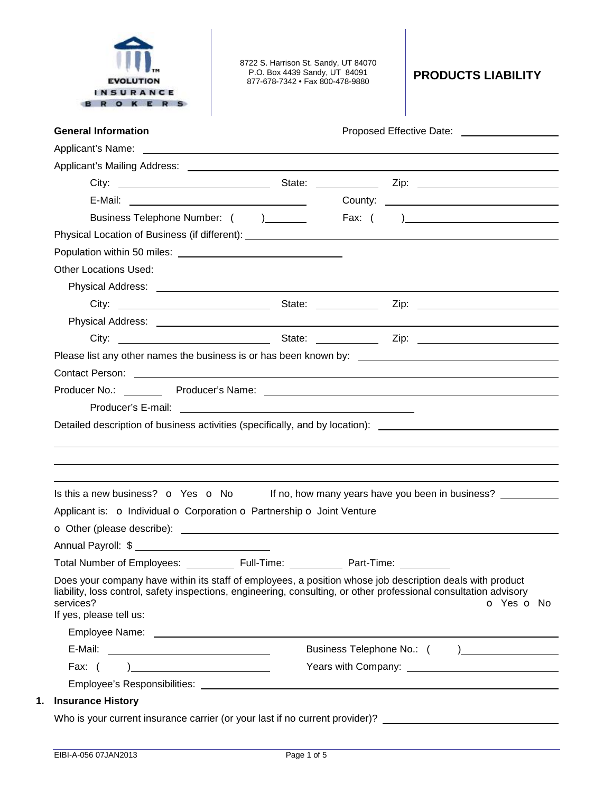

8722 S. Harrison St. Sandy, UT 84070 P.O. Box 4439 Sandy, UT 84091 877-678-7342 • Fax 800-478-9880 **PRODUCTS LIABILITY** 

| <b>General Information</b>                                                                                                                                                                                                                                                                                                                                     | Proposed Effective Date: ____________________ |
|----------------------------------------------------------------------------------------------------------------------------------------------------------------------------------------------------------------------------------------------------------------------------------------------------------------------------------------------------------------|-----------------------------------------------|
| Applicant's Name: <u>example and a series of the series of the series of the series of the series of the series of the series of the series of the series of the series of the series of the series of the series of the series </u>                                                                                                                           |                                               |
|                                                                                                                                                                                                                                                                                                                                                                |                                               |
|                                                                                                                                                                                                                                                                                                                                                                |                                               |
|                                                                                                                                                                                                                                                                                                                                                                |                                               |
| Business Telephone Number: ()                                                                                                                                                                                                                                                                                                                                  |                                               |
|                                                                                                                                                                                                                                                                                                                                                                |                                               |
|                                                                                                                                                                                                                                                                                                                                                                |                                               |
| <b>Other Locations Used:</b>                                                                                                                                                                                                                                                                                                                                   |                                               |
|                                                                                                                                                                                                                                                                                                                                                                |                                               |
|                                                                                                                                                                                                                                                                                                                                                                |                                               |
|                                                                                                                                                                                                                                                                                                                                                                |                                               |
|                                                                                                                                                                                                                                                                                                                                                                |                                               |
|                                                                                                                                                                                                                                                                                                                                                                |                                               |
| Contact Person: Note that the contract of the contract of the contract of the contract Person:                                                                                                                                                                                                                                                                 |                                               |
|                                                                                                                                                                                                                                                                                                                                                                |                                               |
|                                                                                                                                                                                                                                                                                                                                                                |                                               |
|                                                                                                                                                                                                                                                                                                                                                                |                                               |
|                                                                                                                                                                                                                                                                                                                                                                |                                               |
| Detailed description of business activities (specifically, and by location): _________________________________<br>Is this a new business? $\bullet$ Yes $\bullet$ No If no, how many years have you been in business?                                                                                                                                          |                                               |
| Applicant is: o Individual o Corporation o Partnership o Joint Venture                                                                                                                                                                                                                                                                                         |                                               |
|                                                                                                                                                                                                                                                                                                                                                                |                                               |
|                                                                                                                                                                                                                                                                                                                                                                |                                               |
| Annual Payroll: \$                                                                                                                                                                                                                                                                                                                                             |                                               |
| Total Number of Employees: ____________ Full-Time: _____________ Part-Time: ________<br>Does your company have within its staff of employees, a position whose job description deals with product<br>liability, loss control, safety inspections, engineering, consulting, or other professional consultation advisory<br>services?<br>If yes, please tell us: | o Yes o No                                    |
| Employee Name: contract the contract of the contract of the contract of the contract of the contract of the contract of the contract of the contract of the contract of the contract of the contract of the contract of the co                                                                                                                                 |                                               |
|                                                                                                                                                                                                                                                                                                                                                                |                                               |
| Fax: $( )$                                                                                                                                                                                                                                                                                                                                                     |                                               |
|                                                                                                                                                                                                                                                                                                                                                                |                                               |
| <b>Insurance History</b>                                                                                                                                                                                                                                                                                                                                       |                                               |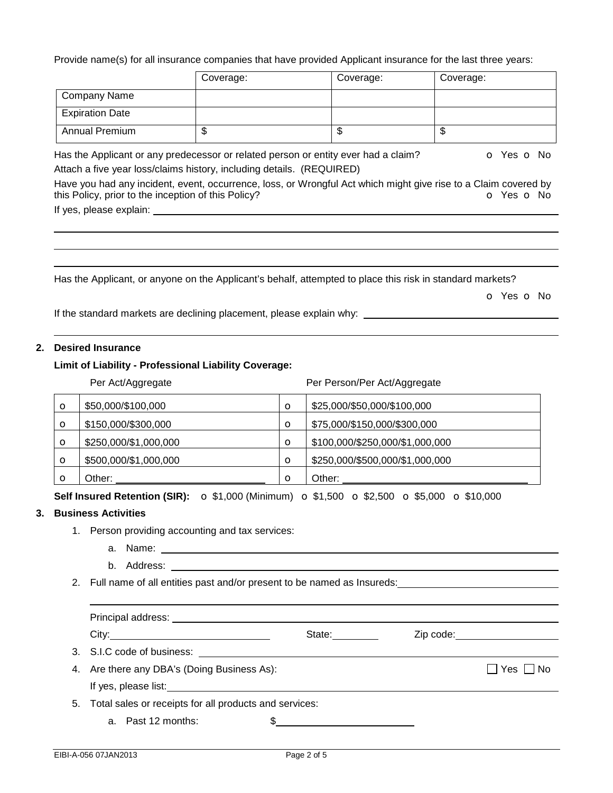Provide name(s) for all insurance companies that have provided Applicant insurance for the last three years:

|                                                     | Coverage:                                                                                                 | Coverage: | Coverage:                                                                                                                                   |
|-----------------------------------------------------|-----------------------------------------------------------------------------------------------------------|-----------|---------------------------------------------------------------------------------------------------------------------------------------------|
| <b>Company Name</b>                                 |                                                                                                           |           |                                                                                                                                             |
| <b>Expiration Date</b>                              |                                                                                                           |           |                                                                                                                                             |
| <b>Annual Premium</b>                               | \$                                                                                                        | \$        | \$                                                                                                                                          |
|                                                     | Has the Applicant or any predecessor or related person or entity ever had a claim?                        |           | <b>o</b> Yes <b>o</b> No                                                                                                                    |
|                                                     | Attach a five year loss/claims history, including details. (REQUIRED)                                     |           |                                                                                                                                             |
| this Policy, prior to the inception of this Policy? |                                                                                                           |           | Have you had any incident, event, occurrence, loss, or Wrongful Act which might give rise to a Claim covered by<br><b>O</b> Yes <b>O</b> No |
| If yes, please explain:                             |                                                                                                           |           |                                                                                                                                             |
|                                                     |                                                                                                           |           |                                                                                                                                             |
|                                                     |                                                                                                           |           |                                                                                                                                             |
|                                                     |                                                                                                           |           |                                                                                                                                             |
|                                                     | Has the Applicant, or anyone on the Applicant's behalf, attempted to place this risk in standard markets? |           |                                                                                                                                             |
|                                                     |                                                                                                           |           | o Yes o No                                                                                                                                  |

If the standard markets are declining placement, please explain why: \_\_\_\_\_\_\_\_\_\_\_\_\_\_\_\_\_\_

## **2. Desired Insurance**

## **Limit of Liability - Professional Liability Coverage:**

|         | Per Act/Aggregate     |         | Per Person/Per Act/Aggregate    |
|---------|-----------------------|---------|---------------------------------|
| $\circ$ | \$50,000/\$100,000    | $\circ$ | \$25,000/\$50,000/\$100,000     |
| $\circ$ | \$150,000/\$300,000   | $\circ$ | \$75,000/\$150,000/\$300,000    |
| $\circ$ | \$250,000/\$1,000,000 | $\circ$ | \$100,000/\$250,000/\$1,000,000 |
| $\circ$ | \$500,000/\$1,000,000 | $\circ$ | \$250,000/\$500,000/\$1,000,000 |
| Ω       | Other:                | $\circ$ | Other:                          |

**Self Insured Retention (SIR):** o \$1,000 (Minimum) o \$1,500 o \$2,500 o \$5,000 o \$10,000

## **3. Business Activities**

- 1. Person providing accounting and tax services:
	- a. Name:
	- b. Address:
- 2. Full name of all entities past and/or present to be named as Insureds:

| Principal address: <u>contract and the set of the set of the set of the set of the set of the set of the set of the set of the set of the set of the set of the set of the set of the set of the set of the set of the set of th</u> |                                                                                                                                                                                                                                |                                                               |
|--------------------------------------------------------------------------------------------------------------------------------------------------------------------------------------------------------------------------------------|--------------------------------------------------------------------------------------------------------------------------------------------------------------------------------------------------------------------------------|---------------------------------------------------------------|
|                                                                                                                                                                                                                                      | State: and the state of the state of the state of the state of the state of the state of the state of the state of the state of the state of the state of the state of the state of the state of the state of the state of the | Zip code: <u>with a series of the series of the series of</u> |
| 3. S.I.C code of business: <u>example a series</u> and series and series and series and series are series and series and                                                                                                             |                                                                                                                                                                                                                                |                                                               |
| 4. Are there any DBA's (Doing Business As):                                                                                                                                                                                          |                                                                                                                                                                                                                                | Yes     No                                                    |
| If yes, please list: <u>supplementary and the set of the set of the set of the set of the set of the set of the set of the set of the set of the set of the set of the set of the set of the set of the set of the set of the se</u> |                                                                                                                                                                                                                                |                                                               |
| 5. Total sales or receipts for all products and services:                                                                                                                                                                            |                                                                                                                                                                                                                                |                                                               |
| a. Past 12 months:                                                                                                                                                                                                                   |                                                                                                                                                                                                                                |                                                               |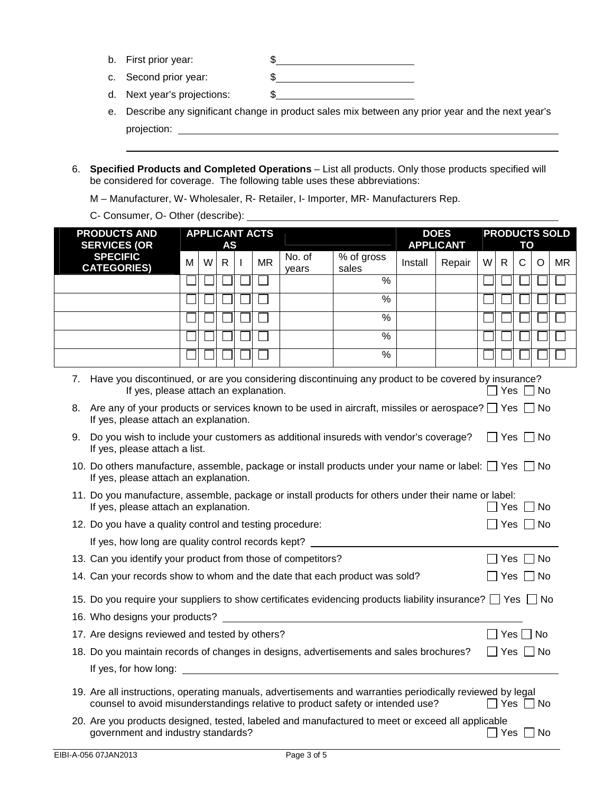- b. First prior year:  $\frac{1}{2}$   $\frac{1}{2}$   $\frac{1}{2}$   $\frac{1}{2}$   $\frac{1}{2}$   $\frac{1}{2}$   $\frac{1}{2}$   $\frac{1}{2}$   $\frac{1}{2}$   $\frac{1}{2}$   $\frac{1}{2}$   $\frac{1}{2}$   $\frac{1}{2}$   $\frac{1}{2}$   $\frac{1}{2}$   $\frac{1}{2}$   $\frac{1}{2}$   $\frac{1}{2}$   $\frac{1}{2}$   $\frac{1}{2}$
- c. Second prior year:  $\frac{1}{2}$  \$
- d. Next year's projections: \$
- e. Describe any significant change in product sales mix between any prior year and the next year's projection:
- 6. **Specified Products and Completed Operations** List all products. Only those products specified will be considered for coverage. The following table uses these abbreviations:
	- M Manufacturer, W- Wholesaler, R- Retailer, I- Importer, MR- Manufacturers Rep.
	- C- Consumer, O- Other (describe):

| <b>PRODUCTS AND</b>                                                                                                                          | <b>APPLICANT ACTS</b>                                                                                                                                                                                                                                                     |              |  |           |                 |                          |         | <b>DOES</b>      |   |              |    |      | <b>PRODUCTS SOLD</b> |
|----------------------------------------------------------------------------------------------------------------------------------------------|---------------------------------------------------------------------------------------------------------------------------------------------------------------------------------------------------------------------------------------------------------------------------|--------------|--|-----------|-----------------|--------------------------|---------|------------------|---|--------------|----|------|----------------------|
| <b>SERVICES (OR</b>                                                                                                                          |                                                                                                                                                                                                                                                                           | AS           |  |           |                 |                          |         | <b>APPLICANT</b> |   |              | ΤO |      |                      |
| <b>SPECIFIC</b><br><b>CATEGORIES)</b>                                                                                                        | W<br>м                                                                                                                                                                                                                                                                    | $\mathsf{R}$ |  | <b>MR</b> | No. of<br>years | % of gross<br>sales      | Install | Repair           | W | $\mathsf{R}$ | Ċ  | O    | <b>MR</b>            |
|                                                                                                                                              |                                                                                                                                                                                                                                                                           |              |  |           |                 | $\sqrt{2}$               |         |                  |   |              |    |      |                      |
|                                                                                                                                              |                                                                                                                                                                                                                                                                           |              |  |           |                 | $\frac{9}{6}$            |         |                  |   |              |    |      |                      |
|                                                                                                                                              |                                                                                                                                                                                                                                                                           |              |  |           |                 | $\%$                     |         |                  |   |              |    |      |                      |
|                                                                                                                                              |                                                                                                                                                                                                                                                                           |              |  |           |                 | $\%$                     |         |                  |   |              |    |      |                      |
|                                                                                                                                              |                                                                                                                                                                                                                                                                           |              |  |           |                 | $\overline{\frac{9}{6}}$ |         |                  |   |              |    |      |                      |
| 7.<br>If yes, please attach an explanation.                                                                                                  | Have you discontinued, or are you considering discontinuing any product to be covered by insurance?<br>If yes, please attach an explanation.<br>]Yes  <br>l No<br>8. Are any of your products or services known to be used in aircraft, missiles or aerospace? □ Yes □ No |              |  |           |                 |                          |         |                  |   |              |    |      |                      |
| Do you wish to include your customers as additional insureds with vendor's coverage?<br>9.<br>If yes, please attach a list.                  |                                                                                                                                                                                                                                                                           |              |  |           |                 |                          |         |                  |   | ∣ Yes I      |    | l No |                      |
|                                                                                                                                              | 10. Do others manufacture, assemble, package or install products under your name or label: $\Box$ Yes $\Box$ No<br>If yes, please attach an explanation.                                                                                                                  |              |  |           |                 |                          |         |                  |   |              |    |      |                      |
| 11. Do you manufacture, assemble, package or install products for others under their name or label:<br>If yes, please attach an explanation. |                                                                                                                                                                                                                                                                           |              |  |           |                 |                          |         |                  |   | Yes          |    | 7 No |                      |
| 12. Do you have a quality control and testing procedure:<br>Yes  <br>l No                                                                    |                                                                                                                                                                                                                                                                           |              |  |           |                 |                          |         |                  |   |              |    |      |                      |
| If yes, how long are quality control records kept?                                                                                           |                                                                                                                                                                                                                                                                           |              |  |           |                 |                          |         |                  |   |              |    |      |                      |
| 13. Can you identify your product from those of competitors?                                                                                 |                                                                                                                                                                                                                                                                           |              |  |           |                 |                          |         |                  |   | _  Yes       |    | l No |                      |
| 14. Can your records show to whom and the date that each product was sold?                                                                   |                                                                                                                                                                                                                                                                           |              |  |           |                 |                          |         |                  |   | $\Box$ Yes   |    | l No |                      |
| 15. Do you require your suppliers to show certificates evidencing products liability insurance? $\Box$ Yes $\Box$ No                         |                                                                                                                                                                                                                                                                           |              |  |           |                 |                          |         |                  |   |              |    |      |                      |
| 16. Who designs your products?                                                                                                               |                                                                                                                                                                                                                                                                           |              |  |           |                 |                          |         |                  |   |              |    |      |                      |
| 17. Are designs reviewed and tested by others?<br>$\Box$ Yes $\Box$ No                                                                       |                                                                                                                                                                                                                                                                           |              |  |           |                 |                          |         |                  |   |              |    |      |                      |
| 18. Do you maintain records of changes in designs, advertisements and sales brochures?<br>$\Box$ Yes $\Box$ No                               |                                                                                                                                                                                                                                                                           |              |  |           |                 |                          |         |                  |   |              |    |      |                      |
| If yes, for how long:                                                                                                                        |                                                                                                                                                                                                                                                                           |              |  |           |                 |                          |         |                  |   |              |    |      |                      |
|                                                                                                                                              | 19. Are all instructions, operating manuals, advertisements and warranties periodically reviewed by legal<br>counsel to avoid misunderstandings relative to product safety or intended use?<br>]Yes [<br>_  No                                                            |              |  |           |                 |                          |         |                  |   |              |    |      |                      |
|                                                                                                                                              | 20. Are you products designed, tested, labeled and manufactured to meet or exceed all applicable<br>government and industry standards?<br>l No<br>_l Yes                                                                                                                  |              |  |           |                 |                          |         |                  |   |              |    |      |                      |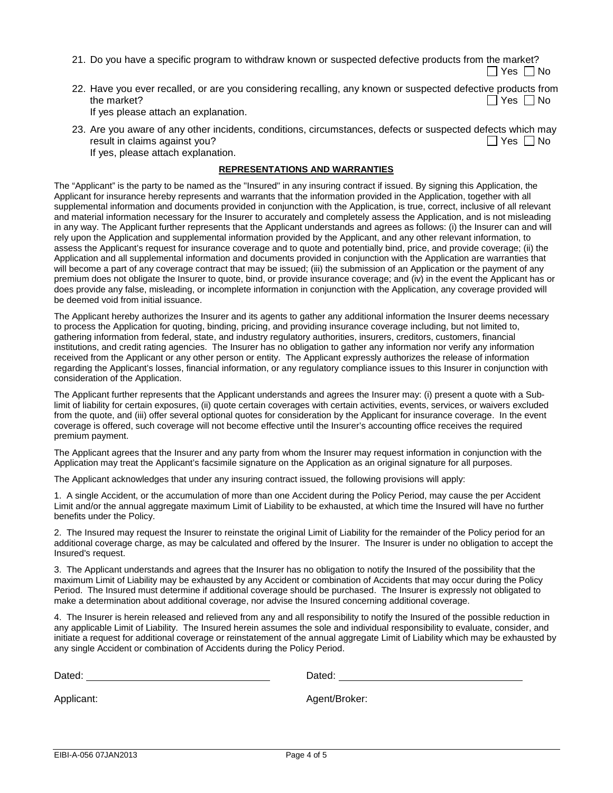21. Do you have a specific program to withdraw known or suspected defective products from the market?

 $\Box$  Yes  $\Box$  No

22. Have you ever recalled, or are you considering recalling, any known or suspected defective products from the market?  $\Box$  Yes  $\Box$  No

If yes please attach an explanation.

23. Are you aware of any other incidents, conditions, circumstances, defects or suspected defects which may result in claims against you?  $\Box$  Yes  $\Box$  No If yes, please attach explanation.

## **REPRESENTATIONS AND WARRANTIES**

The "Applicant" is the party to be named as the "Insured" in any insuring contract if issued. By signing this Application, the Applicant for insurance hereby represents and warrants that the information provided in the Application, together with all supplemental information and documents provided in conjunction with the Application, is true, correct, inclusive of all relevant and material information necessary for the Insurer to accurately and completely assess the Application, and is not misleading in any way. The Applicant further represents that the Applicant understands and agrees as follows: (i) the Insurer can and will rely upon the Application and supplemental information provided by the Applicant, and any other relevant information, to assess the Applicant's request for insurance coverage and to quote and potentially bind, price, and provide coverage; (ii) the Application and all supplemental information and documents provided in conjunction with the Application are warranties that will become a part of any coverage contract that may be issued; (iii) the submission of an Application or the payment of any premium does not obligate the Insurer to quote, bind, or provide insurance coverage; and (iv) in the event the Applicant has or does provide any false, misleading, or incomplete information in conjunction with the Application, any coverage provided will be deemed void from initial issuance.

The Applicant hereby authorizes the Insurer and its agents to gather any additional information the Insurer deems necessary to process the Application for quoting, binding, pricing, and providing insurance coverage including, but not limited to, gathering information from federal, state, and industry regulatory authorities, insurers, creditors, customers, financial institutions, and credit rating agencies. The Insurer has no obligation to gather any information nor verify any information received from the Applicant or any other person or entity. The Applicant expressly authorizes the release of information regarding the Applicant's losses, financial information, or any regulatory compliance issues to this Insurer in conjunction with consideration of the Application.

The Applicant further represents that the Applicant understands and agrees the Insurer may: (i) present a quote with a Sublimit of liability for certain exposures, (ii) quote certain coverages with certain activities, events, services, or waivers excluded from the quote, and (iii) offer several optional quotes for consideration by the Applicant for insurance coverage. In the event coverage is offered, such coverage will not become effective until the Insurer's accounting office receives the required premium payment.

The Applicant agrees that the Insurer and any party from whom the Insurer may request information in conjunction with the Application may treat the Applicant's facsimile signature on the Application as an original signature for all purposes.

The Applicant acknowledges that under any insuring contract issued, the following provisions will apply:

1. A single Accident, or the accumulation of more than one Accident during the Policy Period, may cause the per Accident Limit and/or the annual aggregate maximum Limit of Liability to be exhausted, at which time the Insured will have no further benefits under the Policy.

2. The Insured may request the Insurer to reinstate the original Limit of Liability for the remainder of the Policy period for an additional coverage charge, as may be calculated and offered by the Insurer. The Insurer is under no obligation to accept the Insured's request.

3. The Applicant understands and agrees that the Insurer has no obligation to notify the Insured of the possibility that the maximum Limit of Liability may be exhausted by any Accident or combination of Accidents that may occur during the Policy Period. The Insured must determine if additional coverage should be purchased. The Insurer is expressly not obligated to make a determination about additional coverage, nor advise the Insured concerning additional coverage.

4. The Insurer is herein released and relieved from any and all responsibility to notify the Insured of the possible reduction in any applicable Limit of Liability. The Insured herein assumes the sole and individual responsibility to evaluate, consider, and initiate a request for additional coverage or reinstatement of the annual aggregate Limit of Liability which may be exhausted by any single Accident or combination of Accidents during the Policy Period.

| Dated:     | Dated:        |
|------------|---------------|
| Applicant: | Agent/Broker: |